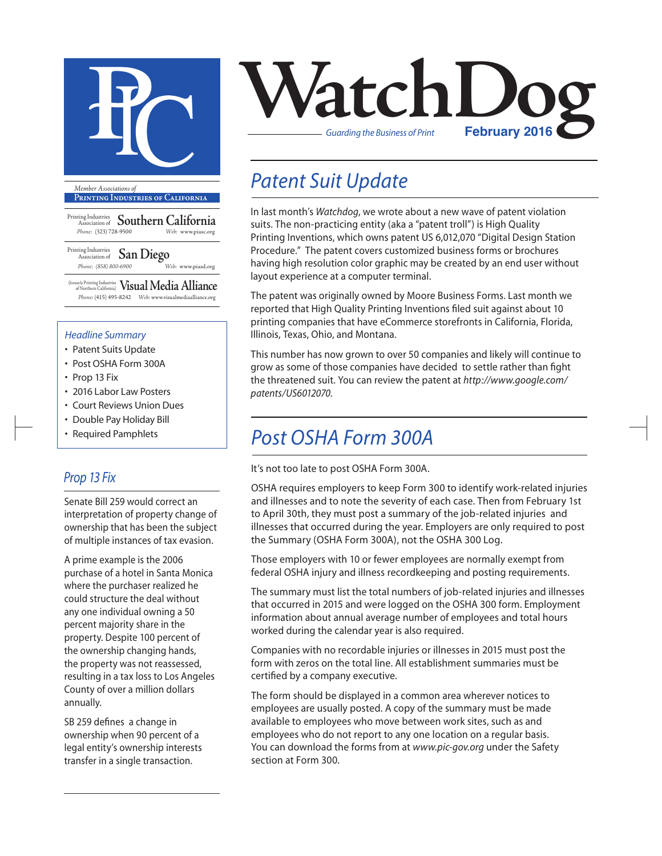

**Printing Industries of California**

Printing Industries Association of **Southern California** *Phone:* (323) 728-9500 *Web:* www.piasc.org

Printing Industries Association of **San Diego** *Phone: (858) 800-6900 Web:* www.piasd.org

(formerly Printing Industries of Northern California) **Visual Media Alliance** *Phone:* (415) 495-8242 *Web:* www.visualmediaalliance.org

#### *Headline Summary*

- Patent Suits Update
- Post OSHA Form 300A
- Prop 13 Fix
- 2016 Labor Law Posters
- Court Reviews Union Dues
- Double Pay Holiday Bill
- Required Pamphlets

### *Prop 13 Fix*

Senate Bill 259 would correct an interpretation of property change of ownership that has been the subject of multiple instances of tax evasion.

A prime example is the 2006 purchase of a hotel in Santa Monica where the purchaser realized he could structure the deal without any one individual owning a 50 percent majority share in the property. Despite 100 percent of the ownership changing hands, the property was not reassessed, resulting in a tax loss to Los Angeles County of over a million dollars annually.

SB 259 defines a change in ownership when 90 percent of a legal entity's ownership interests transfer in a single transaction.



## *Patent Suit Update*

In last month's *Watchdog*, we wrote about a new wave of patent violation suits. The non-practicing entity (aka a "patent troll") is High Quality Printing Inventions, which owns patent US 6,012,070 "Digital Design Station Procedure." The patent covers customized business forms or brochures having high resolution color graphic may be created by an end user without layout experience at a computer terminal.

The patent was originally owned by Moore Business Forms. Last month we reported that High Quality Printing Inventions filed suit against about 10 printing companies that have eCommerce storefronts in California, Florida, Illinois, Texas, Ohio, and Montana.

This number has now grown to over 50 companies and likely will continue to grow as some of those companies have decided to settle rather than fight the threatened suit. You can review the patent at *http://www.google.com/ patents/US6012070.*

### *Post OSHA Form 300A*

It's not too late to post OSHA Form 300A.

OSHA requires employers to keep Form 300 to identify work-related injuries and illnesses and to note the severity of each case. Then from February 1st to April 30th, they must post a summary of the job-related injuries and illnesses that occurred during the year. Employers are only required to post the Summary (OSHA Form 300A), not the OSHA 300 Log.

Those employers with 10 or fewer employees are normally exempt from federal OSHA injury and illness recordkeeping and posting requirements.

The summary must list the total numbers of job-related injuries and illnesses that occurred in 2015 and were logged on the OSHA 300 form. Employment information about annual average number of employees and total hours worked during the calendar year is also required.

Companies with no recordable injuries or illnesses in 2015 must post the form with zeros on the total line. All establishment summaries must be certified by a company executive.

The form should be displayed in a common area wherever notices to employees are usually posted. A copy of the summary must be made available to employees who move between work sites, such as and employees who do not report to any one location on a regular basis. You can download the forms from at *www.pic-gov.org* under the Safety section at Form 300.